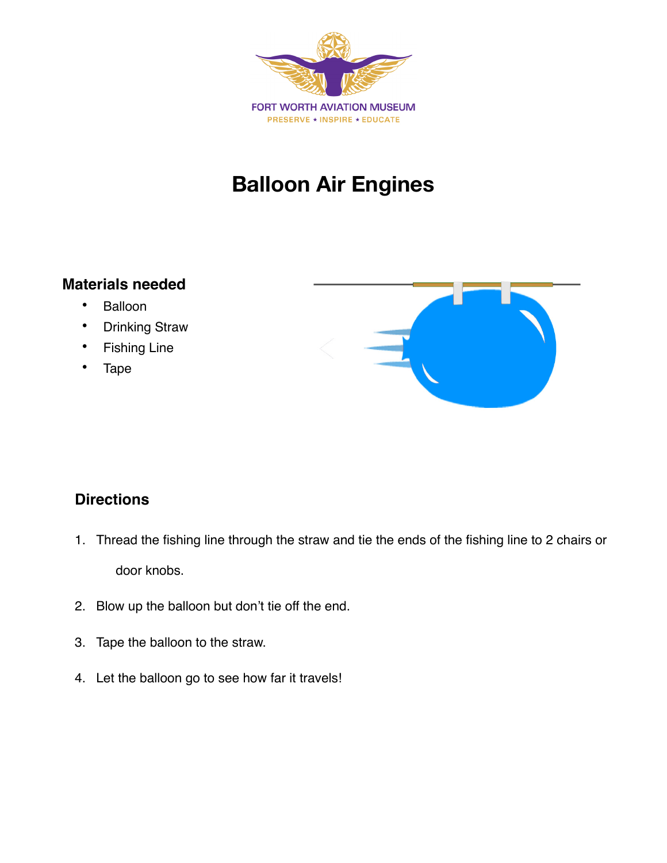

## **Balloon Air Engines**

## **Materials needed**

- Balloon
- Drinking Straw
- Fishing Line
- Tape



## **Directions**

- 1. Thread the fishing line through the straw and tie the ends of the fishing line to 2 chairs or door knobs.
- 2. Blow up the balloon but don't tie off the end.
- 3. Tape the balloon to the straw.
- 4. Let the balloon go to see how far it travels!